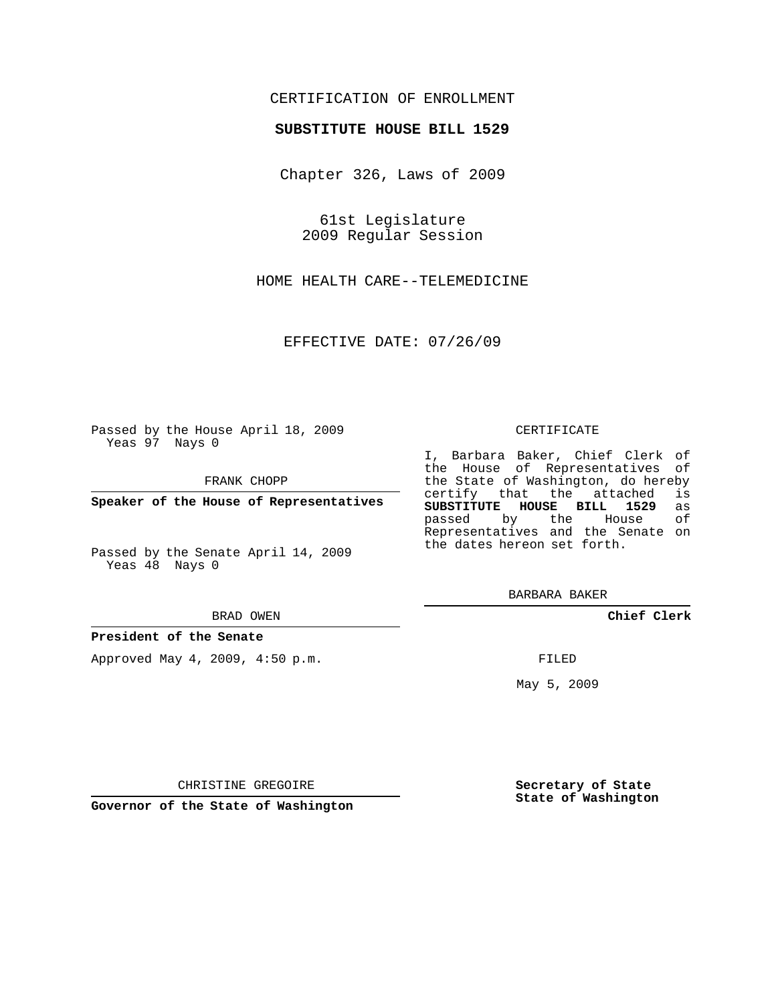## CERTIFICATION OF ENROLLMENT

### **SUBSTITUTE HOUSE BILL 1529**

Chapter 326, Laws of 2009

61st Legislature 2009 Regular Session

HOME HEALTH CARE--TELEMEDICINE

EFFECTIVE DATE: 07/26/09

Passed by the House April 18, 2009 Yeas 97 Nays 0

FRANK CHOPP

**Speaker of the House of Representatives**

Passed by the Senate April 14, 2009 Yeas 48 Nays 0

#### BRAD OWEN

#### **President of the Senate**

Approved May 4, 2009, 4:50 p.m.

### CERTIFICATE

I, Barbara Baker, Chief Clerk of the House of Representatives of the State of Washington, do hereby<br>certify that the attached is certify that the attached **SUBSTITUTE HOUSE BILL 1529** as passed by the Representatives and the Senate on the dates hereon set forth.

BARBARA BAKER

**Chief Clerk**

FILED

May 5, 2009

**Secretary of State State of Washington**

CHRISTINE GREGOIRE

**Governor of the State of Washington**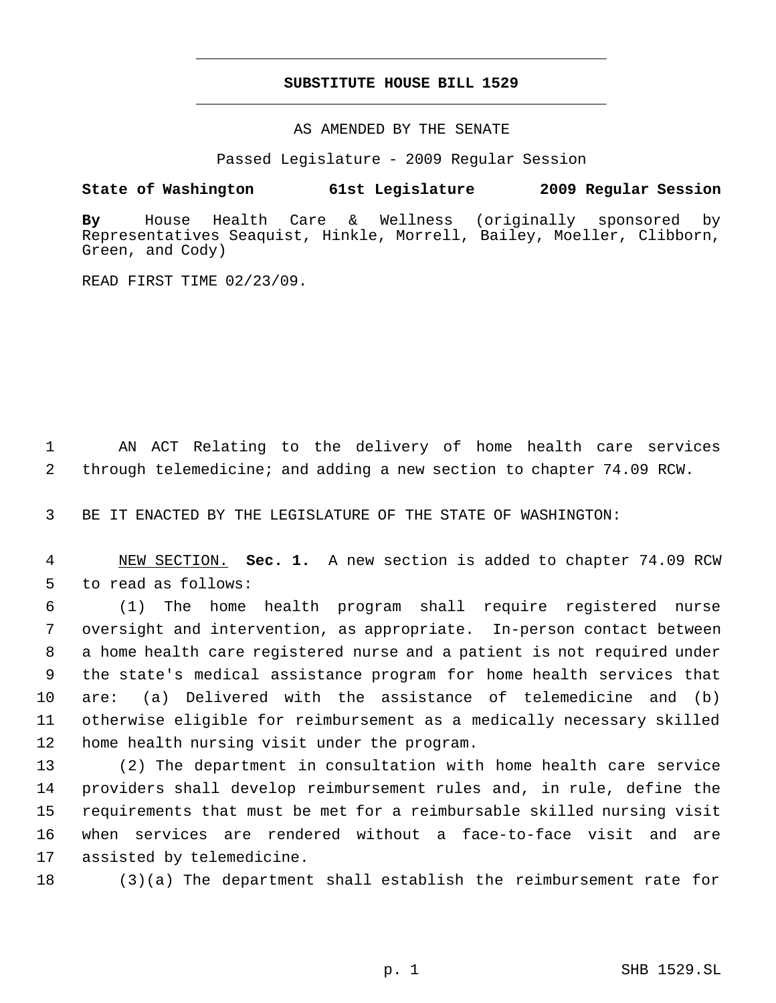# **SUBSTITUTE HOUSE BILL 1529** \_\_\_\_\_\_\_\_\_\_\_\_\_\_\_\_\_\_\_\_\_\_\_\_\_\_\_\_\_\_\_\_\_\_\_\_\_\_\_\_\_\_\_\_\_

\_\_\_\_\_\_\_\_\_\_\_\_\_\_\_\_\_\_\_\_\_\_\_\_\_\_\_\_\_\_\_\_\_\_\_\_\_\_\_\_\_\_\_\_\_

AS AMENDED BY THE SENATE

Passed Legislature - 2009 Regular Session

## **State of Washington 61st Legislature 2009 Regular Session**

**By** House Health Care & Wellness (originally sponsored by Representatives Seaquist, Hinkle, Morrell, Bailey, Moeller, Clibborn, Green, and Cody)

READ FIRST TIME 02/23/09.

 AN ACT Relating to the delivery of home health care services through telemedicine; and adding a new section to chapter 74.09 RCW.

BE IT ENACTED BY THE LEGISLATURE OF THE STATE OF WASHINGTON:

 NEW SECTION. **Sec. 1.** A new section is added to chapter 74.09 RCW to read as follows:

 (1) The home health program shall require registered nurse oversight and intervention, as appropriate. In-person contact between a home health care registered nurse and a patient is not required under the state's medical assistance program for home health services that are: (a) Delivered with the assistance of telemedicine and (b) otherwise eligible for reimbursement as a medically necessary skilled home health nursing visit under the program.

 (2) The department in consultation with home health care service providers shall develop reimbursement rules and, in rule, define the requirements that must be met for a reimbursable skilled nursing visit when services are rendered without a face-to-face visit and are assisted by telemedicine.

(3)(a) The department shall establish the reimbursement rate for